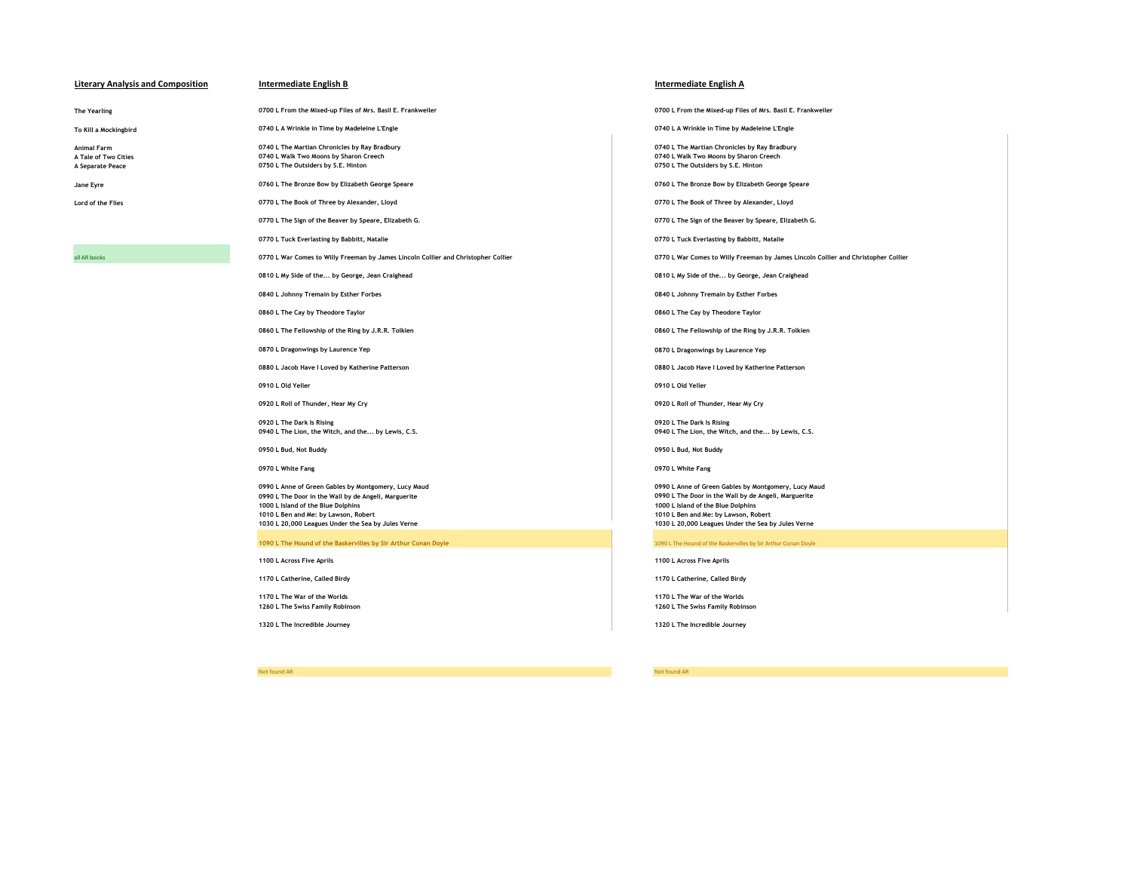# **Literary Analysis and Composition Intermediate English B Intermediate English A**

**To Kill a Mockingbird 0740 L A Wrinkle in Time by Madeleine L'Engle 0740 L A Wrinkle in Time by Madeleine L'Engle**

Animal Farm **1966 Consumer Consumer Consumer Consumer Consumer Consumer Consumer Consumer Consumer Animal Farm**<br>A Tale of Two Cities **Consumer Consumer Consumer Consumer Consumer Consumer Consumer Consumer Consumer Consume A Tale of Two Cities 0740 L Walk Two Moons by Sharon Creech 0740 L Walk Two Moons by Sharon Creech A Separate Peace 0750 L The Outsiders by S.E. Hinton 0750 L The Outsiders by S.E. Hinton**

**0770 L The Sign of the Beaver by Speare, Elizabeth G. 0770 L The Sign of the Beaver by Speare, Elizabeth G.**

**0770 L Tuck Everlasting by Babbitt, Natalie 0770 L Tuck Everlasting by Babbitt, Natalie**

**0920 L Roll of Thunder, Hear My Cry 0920 L Roll of Thunder, Hear My Cry**

**0920 L The Dark Is Rising 0920 L The Dark Is Rising**

op90 L Anne of Green Gables by Montgomery, Lucy Maud<br>1990 L The Door in the Wall by de Angeli, Marguerite and The Maudio Designed Based of the Wall by de Angeli, Marguerite<br>1990 L The Door in the Wall by de Angeli, Marguer **0990 L The Door in the Wall by de Angeli, Marguerite 0990 L The Door in the Wall by de Angeli, Marguerite 1000 L Island of the Blue Dolphins 1000 L Island of the Blue Dolphins 1010 L Ben and Me: by Lawson, Robert 1010 L Ben and Me: by Lawson, Robert**

**1090 L The Hound of the Baskervilles by Sir Arthur Conan Doyle** 1090 L The Hound of the Baskervilles by Sir Arthur Conan Doyle

**1100 L Across Five Aprils 1100 L Across Five Aprils**

**1170 L The War of the Worlds 1170 L The War of the Worlds**

**1320 L The Incredible Journey 1320 L The Incredible Journey**

Not found AR Not found AR

**The Yearling 0700 L From the Mixed-up Files of Mrs. Basil E. Frankweiler 0700 L From the Mixed-up Files of Mrs. Basil E. Frankweiler**

**Jane Eyre 0760 L The Bronze Bow by Elizabeth George Speare 0760 L The Bronze Bow by Elizabeth George Speare**

**Lord of the Flies 0770 L The Book of Three by Alexander, Lloyd 0770 L The Book of Three by Alexander, Lloyd**

all AR books **1999 COLL ART COMES CONTING AREAS AREAS AREAS AREAS AREAS AREAS AREAS AREAS AREAS AREAS AREAS AREAS AREAS AREAS AREAS AREAS AREAS AREAS AREAS AREAS AREAS AREAS AREAS AREAS AREAS AREAS AREAS AREAS AREAS AREAS** 

**0810 L My Side of the... by George, Jean Craighead 0810 L My Side of the... by George, Jean Craighead**

**0840 L Johnny Tremain by Esther Forbes 0840 L Johnny Tremain by Esther Forbes**

**0860 L The Cay by Theodore Taylor 0860 L The Cay by Theodore Taylor**

**0860 L The Fellowship of the Ring by J.R.R. Tolkien 0860 L The Fellowship of the Ring by J.R.R. Tolkien**

**0870 L Dragonwings by Laurence Yep 0870 L Dragonwings by Laurence Yep**

**0880 L Jacob Have I Loved by Katherine Patterson 0880 L Jacob Have I Loved by Katherine Patterson**

**0910 L Old Yeller 0910 L Old Yeller**

**0940 L The Lion, the Witch, and the... by Lewis, C.S. 0940 L The Lion, the Witch, and the... by Lewis, C.S.**

**0950 L Bud, Not Buddy 0950 L Bud, Not Buddy**

**0970 L White Fang 0970 L White Fang**

**1030 L 20,000 Leagues Under the Sea by Jules Verne 1030 L 20,000 Leagues Under the Sea by Jules Verne**

**1170 L Catherine, Called Birdy 1170 L Catherine, Called Birdy**

**1260 L The Swiss Family Robinson 1260 L The Swiss Family Robinson**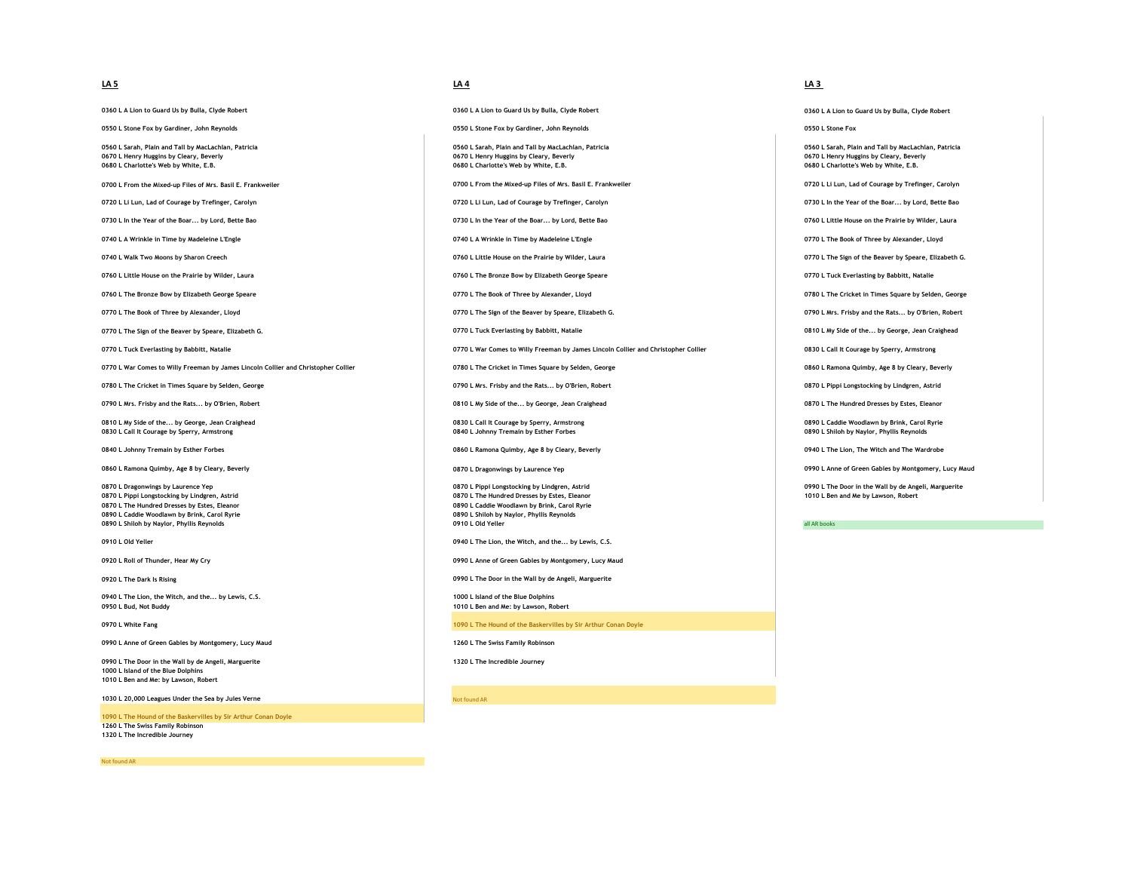**0360 L A Lion to Guard Us by Bulla, Clyde Robert 0360 L A Lion to Guard Us by Bulla, Clyde Robert 0360 L A Lion to Guard Us by Bulla, Clyde Robert**

**0550 L Stone Fox by Gardiner, John Reynolds 0550 L Stone Fox by Gardiner, John Reynolds 0550 L Stone Fox**

or of the Seaver by Speare, Elizabeth G. **Case of the Speare of the Speare of the Speare** of the Speare, Elizabeth G. **Department of the Speare of the Speare** of the Speare, Elizabeth G. **All any Speare of the Speare of th** 

**0770 L War Comes to Willy Freeman by James Lincoln Collier and Christopher Collier 0780 L The Cricket in Times Square by Selden, George 0860 L Ramona Quimby, Age 8 by Cleary, Beverly**

or David David David David David David David David David David David David David David David David David David<br>A David David David David David David David David David David David David David David David David David David D **0830 L Call It Courage by Sperry, Armstrong** 

**0890 L Caddie Woodlawn by Brink, Carol Ryrie** 

**0940 L The Lion, the Witch, and the... by Lewis, C.S. 1000 L Island of the Blue Dolphins**

**0990 L Anne of Green Gables by Montgomery, Lucy Maud 1260 L The Swiss Family Robinson**

**0990 L The Door in the Wall by de Angeli, Marguerite 1320 L The Incredible Journey 1000 L Island of the Blue Dolphins 1010 L Ben and Me: by Lawson, Robert**

**1030 L 20,000 Leagues Under the Sea by Jules Verne** Not found AR **Not found AR** 

**1090 L The Hound of the Baskervilles by Sir Arthur Conan Doyle 1260 L The Swiss Family Robinson 1320 L The Incredible Journey**

Not found AR

# **LA 5 LA 4 LA 3**

of the Danis of the Danis of the Danis of the Danis of the Danis of the Danis of the Danis of the Danis of the Danis of the Danis of the Danis of the Danis of the Danis of the Danis of the Danis of the Danis of the Danis o **0680 L Charlotte's Web by White, E.B. 0680 L Charlotte's Web by White, E.B. 0680 L Charlotte's Web by White, E.B.**

**0700 L From the Mixed-up Files of Mrs. Basil E. Frankweiler 0700 L From the Mixed-up Files of Mrs. Basil E. Frankweiler 0720 L Li Lun, Lad of Courage by Trefinger, Carolyn**

**0720 L Li Lun, Lad of Courage by Trefinger, Carolyn 19730 L In the Year of the Boar... by Lord, Bette Baor... by Lord, Bette Baor... by Lord, Bette Baor... by Lord, Bette Baor... by Lord, Bette Baor... by Lord, Bette Ba** 

**0730 L In the Year of the Boar... by Lord, Bette Bao 0740 L In the Year of the Boar... by Lord, Bette Bao 0760 L Little House on the Prairie by Wilder, Laura** 

**0740 L A Wrinkle in Time by Madeleine L'Engle 0740 L A Wrinkle in Time by Madeleine L'Engle 0770 L The Book of Three by Alexander, Lloyd**

**0740 L Walk Two Moons by Sharon Creech 0760 L Little House on the Prairie by Wilder, Laura 0770 L The Sign of the Beaver by Speare, Elizabeth G.**

**0760 L Little House on the Prairie by Wilder, Laura 1976 L The Bronze Bow by Elizabeth George Speare 1988 1998 1998 1998 1998 1998 1998 1998 1999 1999 1999 1999 1999 1999 1999 1999** 

or a computed by the Book of Three by Alexander, Lloyd **Capacity and Cricket in Times Square by Selden, George Speare 0780 L The Cricket in Times Square by Selden, George** 

or **OF ALEXANDER CONSUMPTER OF A LEXANDER CONSUMPTER OF A LEXANDER CONSUMPTER OF A LEXANDER CONSUMPTER OF A LEXANDER OF A LEXANDER OF A LEXANDER OF A LEXANDER OF A LEXANDER OF A LEXANDER OF A LEXANDER OF A LEXANDER OF A LE** 

or D. Tuck Everlasting by Babbitt, Natalie **D. The Comes Collier and Collier and Collier and Christopher Collier Collier** and Christopher Collier **Collier and Christopher Collier** and Christopher Collier and Christopher Co

or a cricket in Times Square by Selden, George **1880 L Materia and Stripes and Cricket and The Rats.** by O'Brien, Robert **0870 L Pippi Longstocking by Lindgren, Astrid** and the Rats... by O'Brien, Robert **1989 Leap and the** 

**0790 L Mrs. Frisby and the Rats... by O'Brien, Robert 0810 L My Side of the... by George, Jean Craighead 0870 L The Hundred Dresses by Estes, Eleanor**

**0840 L Johnny Tremain by Esther Forbes 0860 L Ramona Quimby, Age 8 by Cleary, Beverly 0940 L The Lion, The Witch and The Wardrobe**

**0870 L Pippi Longstocking by Lindgren, Astrid 101 Linder and Me by Linder and Me by Linder and Me by Linder and Me by Linder and Me by Linder and Me by Linder and Me by Linder and Me by Linder and Me by Lawson, Robert L 0890 L Caddie Woodlawn by Brink, Carol Ryrie**<br>0890 L Shiloh by Navlor, Phyllis Reynolds **0890 L Shiloh by Naylor, Phyllis Reynolds all AR books 0910 L Old Yeller 0910 L Old Yeller 0910 L Old Yeller all AR books** 

**0910 L Old Yeller 0940 L The Lion, the Witch, and the... by Lewis, C.S.**

**0920 L Roll of Thunder, Hear My Cry 0990 L Anne of Green Gables by Montgomery, Lucy Maud**

**0920 L The Dark Is Rising 0990 L The Door in the Wall by de Angeli, Marguerite**

**0950 L Bud, Not Buddy 1010 L Ben and Me: by Lawson, Robert**

**0970 L White Fang 1090 L The Hound of the Baskervilles by Sir Arthur Conan Doyle**

**0560 L Sarah, Plain and Tall by MacLachlan, Patricia 0560 L Sarah, Plain and Tall by MacLachlan, Patricia 0560 L Sarah, Plain and Tall by MacLachlan, Patricia**

or a component of the Cleary, Beverly **or a component of the Cleary, Beverly Cleary, Beverly 1999 L Dragonwings by Laurence Yep 0970 L** Dragonwings by Laurence Yep **1999 L Dragonwings by Laurence Yep 1999 L** Anne o

or and the Mall by de Angeli, Marguerite and Marguerite and Marguerite of Description of Dragon Description of the Wall by de Angeli, Marguerite and Me of Dragon Description of the Wall by de Angeli, Marguerite and Me of D